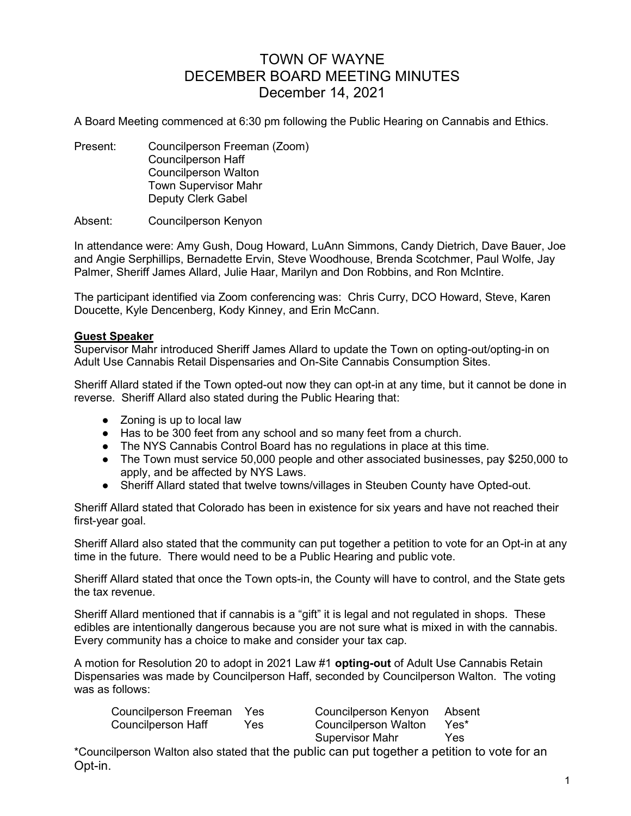# TOWN OF WAYNE DECEMBER BOARD MEETING MINUTES December 14, 2021

A Board Meeting commenced at 6:30 pm following the Public Hearing on Cannabis and Ethics.

Present: Councilperson Freeman (Zoom) Councilperson Haff Councilperson Walton Town Supervisor Mahr Deputy Clerk Gabel

Absent: Councilperson Kenyon

In attendance were: Amy Gush, Doug Howard, LuAnn Simmons, Candy Dietrich, Dave Bauer, Joe and Angie Serphillips, Bernadette Ervin, Steve Woodhouse, Brenda Scotchmer, Paul Wolfe, Jay Palmer, Sheriff James Allard, Julie Haar, Marilyn and Don Robbins, and Ron McIntire.

The participant identified via Zoom conferencing was: Chris Curry, DCO Howard, Steve, Karen Doucette, Kyle Dencenberg, Kody Kinney, and Erin McCann.

# Guest Speaker

Supervisor Mahr introduced Sheriff James Allard to update the Town on opting-out/opting-in on Adult Use Cannabis Retail Dispensaries and On-Site Cannabis Consumption Sites.

Sheriff Allard stated if the Town opted-out now they can opt-in at any time, but it cannot be done in reverse. Sheriff Allard also stated during the Public Hearing that:

- Zoning is up to local law
- Has to be 300 feet from any school and so many feet from a church.
- The NYS Cannabis Control Board has no regulations in place at this time.
- The Town must service 50,000 people and other associated businesses, pay \$250,000 to apply, and be affected by NYS Laws.
- Sheriff Allard stated that twelve towns/villages in Steuben County have Opted-out.

Sheriff Allard stated that Colorado has been in existence for six years and have not reached their first-year goal.

Sheriff Allard also stated that the community can put together a petition to vote for an Opt-in at any time in the future. There would need to be a Public Hearing and public vote.

Sheriff Allard stated that once the Town opts-in, the County will have to control, and the State gets the tax revenue.

Sheriff Allard mentioned that if cannabis is a "gift" it is legal and not regulated in shops. These edibles are intentionally dangerous because you are not sure what is mixed in with the cannabis. Every community has a choice to make and consider your tax cap.

A motion for Resolution 20 to adopt in 2021 Law #1 opting-out of Adult Use Cannabis Retain Dispensaries was made by Councilperson Haff, seconded by Councilperson Walton. The voting was as follows:

| Councilperson Freeman | Yes  | Councilperson Kenyon Absent |      |
|-----------------------|------|-----------------------------|------|
| Councilperson Haff    | Yes. | Councilperson Walton        | Yes* |
|                       |      | <b>Supervisor Mahr</b>      | Yes  |

\*Councilperson Walton also stated that the public can put together a petition to vote for an Opt-in.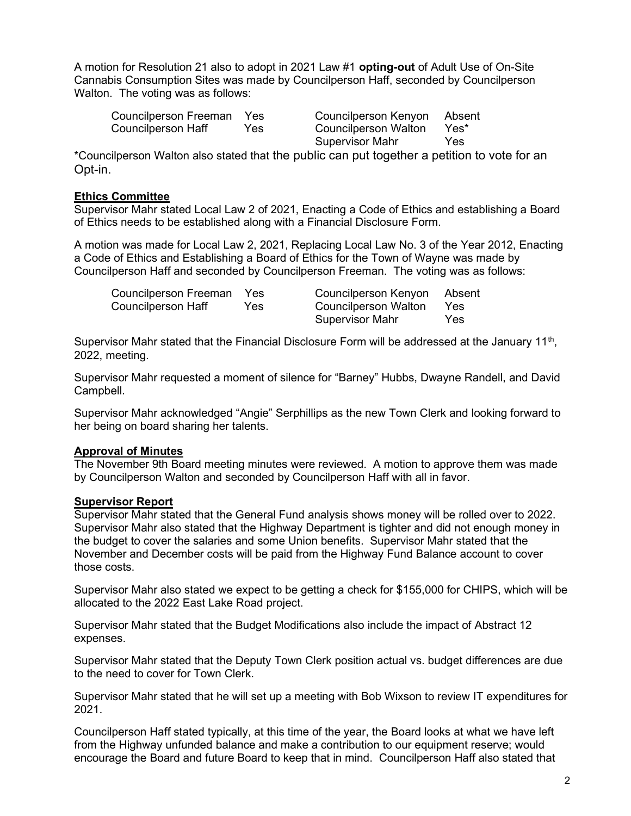A motion for Resolution 21 also to adopt in 2021 Law #1 opting-out of Adult Use of On-Site Cannabis Consumption Sites was made by Councilperson Haff, seconded by Councilperson Walton. The voting was as follows:

| Councilperson Freeman | <b>Yes</b> | Councilperson Kenyon Absent |      |
|-----------------------|------------|-----------------------------|------|
| Councilperson Haff    | Yes        | Councilperson Walton        | Yes* |
|                       |            | Supervisor Mahr             | Yes  |

\*Councilperson Walton also stated that the public can put together a petition to vote for an Opt-in.

# Ethics Committee

Supervisor Mahr stated Local Law 2 of 2021, Enacting a Code of Ethics and establishing a Board of Ethics needs to be established along with a Financial Disclosure Form.

A motion was made for Local Law 2, 2021, Replacing Local Law No. 3 of the Year 2012, Enacting a Code of Ethics and Establishing a Board of Ethics for the Town of Wayne was made by Councilperson Haff and seconded by Councilperson Freeman. The voting was as follows:

| Councilperson Freeman | <b>Yes</b> | Councilperson Kenyon Absent |     |
|-----------------------|------------|-----------------------------|-----|
| Councilperson Haff    | Yes        | Councilperson Walton Yes    |     |
|                       |            | Supervisor Mahr             | Yes |

Supervisor Mahr stated that the Financial Disclosure Form will be addressed at the January 11<sup>th</sup>, 2022, meeting.

Supervisor Mahr requested a moment of silence for "Barney" Hubbs, Dwayne Randell, and David Campbell.

Supervisor Mahr acknowledged "Angie" Serphillips as the new Town Clerk and looking forward to her being on board sharing her talents.

# Approval of Minutes

The November 9th Board meeting minutes were reviewed. A motion to approve them was made by Councilperson Walton and seconded by Councilperson Haff with all in favor.

## Supervisor Report

Supervisor Mahr stated that the General Fund analysis shows money will be rolled over to 2022. Supervisor Mahr also stated that the Highway Department is tighter and did not enough money in the budget to cover the salaries and some Union benefits. Supervisor Mahr stated that the November and December costs will be paid from the Highway Fund Balance account to cover those costs.

Supervisor Mahr also stated we expect to be getting a check for \$155,000 for CHIPS, which will be allocated to the 2022 East Lake Road project.

Supervisor Mahr stated that the Budget Modifications also include the impact of Abstract 12 expenses.

Supervisor Mahr stated that the Deputy Town Clerk position actual vs. budget differences are due to the need to cover for Town Clerk.

Supervisor Mahr stated that he will set up a meeting with Bob Wixson to review IT expenditures for 2021.

Councilperson Haff stated typically, at this time of the year, the Board looks at what we have left from the Highway unfunded balance and make a contribution to our equipment reserve; would encourage the Board and future Board to keep that in mind. Councilperson Haff also stated that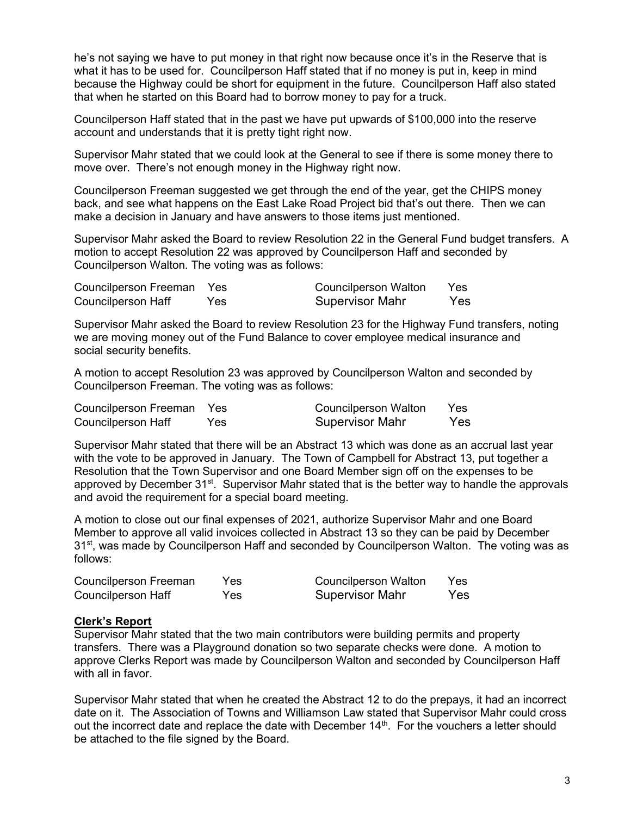he's not saying we have to put money in that right now because once it's in the Reserve that is what it has to be used for. Councilperson Haff stated that if no money is put in, keep in mind because the Highway could be short for equipment in the future. Councilperson Haff also stated that when he started on this Board had to borrow money to pay for a truck.

Councilperson Haff stated that in the past we have put upwards of \$100,000 into the reserve account and understands that it is pretty tight right now.

Supervisor Mahr stated that we could look at the General to see if there is some money there to move over. There's not enough money in the Highway right now.

Councilperson Freeman suggested we get through the end of the year, get the CHIPS money back, and see what happens on the East Lake Road Project bid that's out there. Then we can make a decision in January and have answers to those items just mentioned.

Supervisor Mahr asked the Board to review Resolution 22 in the General Fund budget transfers. A motion to accept Resolution 22 was approved by Councilperson Haff and seconded by Councilperson Walton. The voting was as follows:

| Councilperson Freeman Yes |     | <b>Councilperson Walton</b> | Yes. |
|---------------------------|-----|-----------------------------|------|
| Councilperson Haff        | Yes | <b>Supervisor Mahr</b>      | Yes  |

Supervisor Mahr asked the Board to review Resolution 23 for the Highway Fund transfers, noting we are moving money out of the Fund Balance to cover employee medical insurance and social security benefits.

A motion to accept Resolution 23 was approved by Councilperson Walton and seconded by Councilperson Freeman. The voting was as follows:

| Councilperson Freeman Yes |      | Councilperson Walton   | Yes |
|---------------------------|------|------------------------|-----|
| <b>Councilperson Haff</b> | Yes. | <b>Supervisor Mahr</b> | Yes |

Supervisor Mahr stated that there will be an Abstract 13 which was done as an accrual last year with the vote to be approved in January. The Town of Campbell for Abstract 13, put together a Resolution that the Town Supervisor and one Board Member sign off on the expenses to be approved by December 31<sup>st</sup>. Supervisor Mahr stated that is the better way to handle the approvals and avoid the requirement for a special board meeting.

A motion to close out our final expenses of 2021, authorize Supervisor Mahr and one Board Member to approve all valid invoices collected in Abstract 13 so they can be paid by December 31<sup>st</sup>, was made by Councilperson Haff and seconded by Councilperson Walton. The voting was as follows:

| Councilperson Freeman | Yes.       | <b>Councilperson Walton</b> | Yes |
|-----------------------|------------|-----------------------------|-----|
| Councilperson Haff    | <b>Yes</b> | <b>Supervisor Mahr</b>      | Yes |

## Clerk's Report

Supervisor Mahr stated that the two main contributors were building permits and property transfers. There was a Playground donation so two separate checks were done. A motion to approve Clerks Report was made by Councilperson Walton and seconded by Councilperson Haff with all in favor.

Supervisor Mahr stated that when he created the Abstract 12 to do the prepays, it had an incorrect date on it. The Association of Towns and Williamson Law stated that Supervisor Mahr could cross out the incorrect date and replace the date with December  $14<sup>th</sup>$ . For the vouchers a letter should be attached to the file signed by the Board.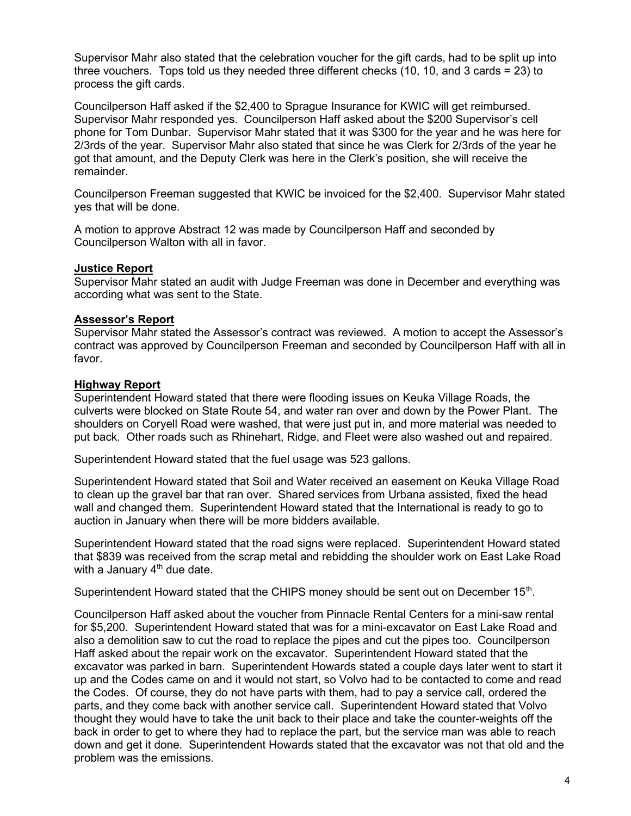Supervisor Mahr also stated that the celebration voucher for the gift cards, had to be split up into three vouchers. Tops told us they needed three different checks (10, 10, and 3 cards = 23) to process the gift cards.

Councilperson Haff asked if the \$2,400 to Sprague Insurance for KWIC will get reimbursed. Supervisor Mahr responded yes. Councilperson Haff asked about the \$200 Supervisor's cell phone for Tom Dunbar. Supervisor Mahr stated that it was \$300 for the year and he was here for 2/3rds of the year. Supervisor Mahr also stated that since he was Clerk for 2/3rds of the year he got that amount, and the Deputy Clerk was here in the Clerk's position, she will receive the remainder.

Councilperson Freeman suggested that KWIC be invoiced for the \$2,400. Supervisor Mahr stated yes that will be done.

A motion to approve Abstract 12 was made by Councilperson Haff and seconded by Councilperson Walton with all in favor.

# Justice Report

Supervisor Mahr stated an audit with Judge Freeman was done in December and everything was according what was sent to the State.

# Assessor's Report

Supervisor Mahr stated the Assessor's contract was reviewed. A motion to accept the Assessor's contract was approved by Councilperson Freeman and seconded by Councilperson Haff with all in favor.

# Highway Report

Superintendent Howard stated that there were flooding issues on Keuka Village Roads, the culverts were blocked on State Route 54, and water ran over and down by the Power Plant. The shoulders on Coryell Road were washed, that were just put in, and more material was needed to put back. Other roads such as Rhinehart, Ridge, and Fleet were also washed out and repaired.

Superintendent Howard stated that the fuel usage was 523 gallons.

Superintendent Howard stated that Soil and Water received an easement on Keuka Village Road to clean up the gravel bar that ran over. Shared services from Urbana assisted, fixed the head wall and changed them. Superintendent Howard stated that the International is ready to go to auction in January when there will be more bidders available.

Superintendent Howard stated that the road signs were replaced. Superintendent Howard stated that \$839 was received from the scrap metal and rebidding the shoulder work on East Lake Road with a January  $4<sup>th</sup>$  due date.

Superintendent Howard stated that the CHIPS money should be sent out on December 15<sup>th</sup>.

Councilperson Haff asked about the voucher from Pinnacle Rental Centers for a mini-saw rental for \$5,200. Superintendent Howard stated that was for a mini-excavator on East Lake Road and also a demolition saw to cut the road to replace the pipes and cut the pipes too. Councilperson Haff asked about the repair work on the excavator. Superintendent Howard stated that the excavator was parked in barn. Superintendent Howards stated a couple days later went to start it up and the Codes came on and it would not start, so Volvo had to be contacted to come and read the Codes. Of course, they do not have parts with them, had to pay a service call, ordered the parts, and they come back with another service call. Superintendent Howard stated that Volvo thought they would have to take the unit back to their place and take the counter-weights off the back in order to get to where they had to replace the part, but the service man was able to reach down and get it done. Superintendent Howards stated that the excavator was not that old and the problem was the emissions.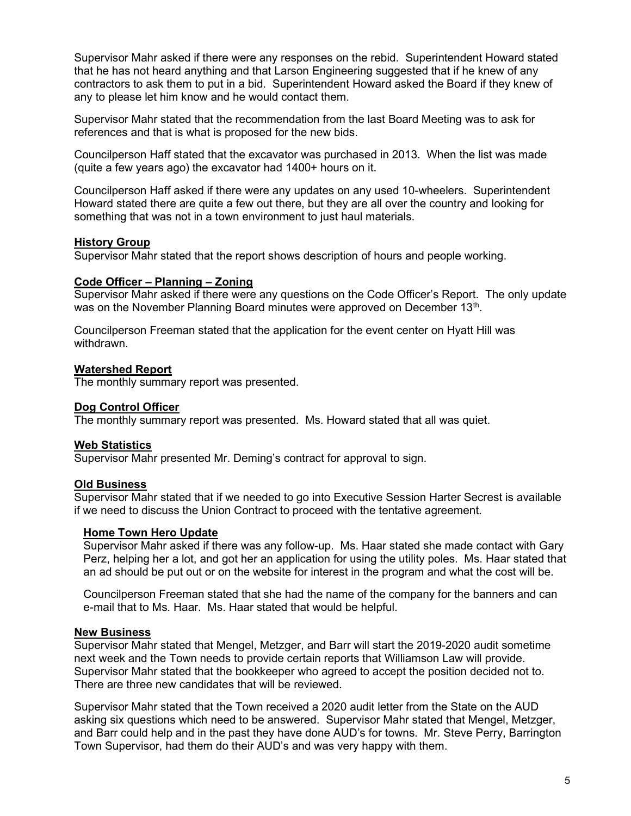Supervisor Mahr asked if there were any responses on the rebid. Superintendent Howard stated that he has not heard anything and that Larson Engineering suggested that if he knew of any contractors to ask them to put in a bid. Superintendent Howard asked the Board if they knew of any to please let him know and he would contact them.

Supervisor Mahr stated that the recommendation from the last Board Meeting was to ask for references and that is what is proposed for the new bids.

Councilperson Haff stated that the excavator was purchased in 2013. When the list was made (quite a few years ago) the excavator had 1400+ hours on it.

Councilperson Haff asked if there were any updates on any used 10-wheelers. Superintendent Howard stated there are quite a few out there, but they are all over the country and looking for something that was not in a town environment to just haul materials.

## **History Group**

Supervisor Mahr stated that the report shows description of hours and people working.

# Code Officer – Planning – Zoning

Supervisor Mahr asked if there were any questions on the Code Officer's Report. The only update was on the November Planning Board minutes were approved on December 13<sup>th</sup>.

Councilperson Freeman stated that the application for the event center on Hyatt Hill was withdrawn.

## Watershed Report

The monthly summary report was presented.

## Dog Control Officer

The monthly summary report was presented. Ms. Howard stated that all was quiet.

## Web Statistics

Supervisor Mahr presented Mr. Deming's contract for approval to sign.

## **Old Business**

Supervisor Mahr stated that if we needed to go into Executive Session Harter Secrest is available if we need to discuss the Union Contract to proceed with the tentative agreement.

## Home Town Hero Update

Supervisor Mahr asked if there was any follow-up. Ms. Haar stated she made contact with Gary Perz, helping her a lot, and got her an application for using the utility poles. Ms. Haar stated that an ad should be put out or on the website for interest in the program and what the cost will be.

Councilperson Freeman stated that she had the name of the company for the banners and can e-mail that to Ms. Haar. Ms. Haar stated that would be helpful.

## New Business

Supervisor Mahr stated that Mengel, Metzger, and Barr will start the 2019-2020 audit sometime next week and the Town needs to provide certain reports that Williamson Law will provide. Supervisor Mahr stated that the bookkeeper who agreed to accept the position decided not to. There are three new candidates that will be reviewed.

Supervisor Mahr stated that the Town received a 2020 audit letter from the State on the AUD asking six questions which need to be answered. Supervisor Mahr stated that Mengel, Metzger, and Barr could help and in the past they have done AUD's for towns. Mr. Steve Perry, Barrington Town Supervisor, had them do their AUD's and was very happy with them.